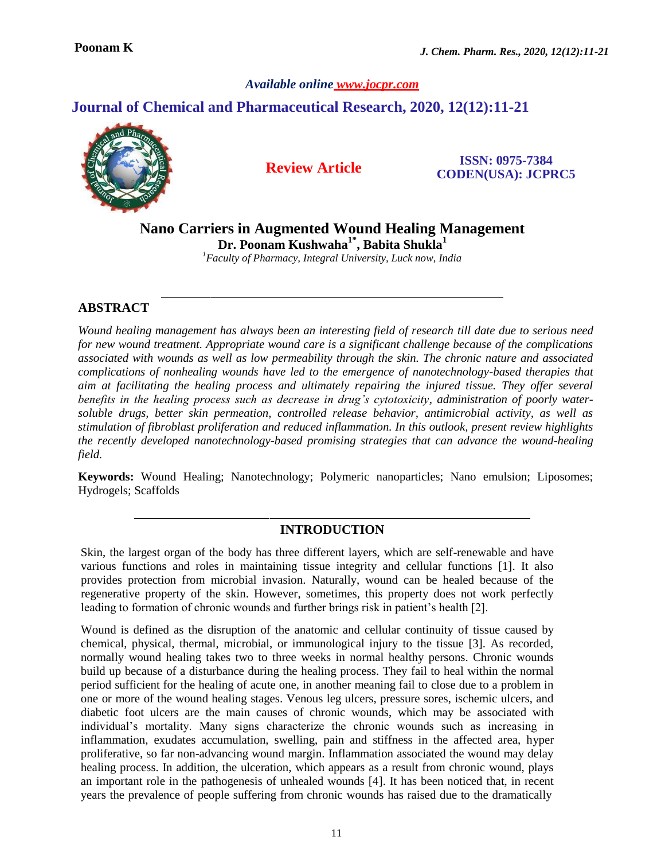*Available online [www.jocpr.com](http://www.jocpr.com/)*

# **Journal of Chemical and Pharmaceutical Research, 2020, 12(12):11-21**



**Review Article**

**ISSN: 0975-7384 CODEN(USA): JCPRC5**

**Nano Carriers in Augmented Wound Healing Management**

**Dr. Poonam Kushwaha1\*, Babita Shukla<sup>1</sup>**

*<sup>1</sup>Faculty of Pharmacy, Integral University, Luck now, India*

## **ABSTRACT**

*Wound healing management has always been an interesting field of research till date due to serious need for new wound treatment. Appropriate wound care is a significant challenge because of the complications associated with wounds as well as low permeability through the skin. The chronic nature and associated complications of nonhealing wounds have led to the emergence of nanotechnology-based therapies that aim at facilitating the healing process and ultimately repairing the injured tissue. They offer several benefits in the healing process such as decrease in drug's cytotoxicity, administration of poorly watersoluble drugs, better skin permeation, controlled release behavior, antimicrobial activity, as well as stimulation of fibroblast proliferation and reduced inflammation. In this outlook, present review highlights the recently developed nanotechnology-based promising strategies that can advance the wound-healing field.*

**Keywords:** Wound Healing; Nanotechnology; Polymeric nanoparticles; Nano emulsion; Liposomes; Hydrogels; Scaffolds

## **INTRODUCTION**

Skin, the largest organ of the body has three different layers, which are self-renewable and have various functions and roles in maintaining tissue integrity and cellular functions [1]. It also provides protection from microbial invasion. Naturally, wound can be healed because of the regenerative property of the skin. However, sometimes, this property does not work perfectly leading to formation of chronic wounds and further brings risk in patient's health [2].

Wound is defined as the disruption of the anatomic and cellular continuity of tissue caused by chemical, physical, thermal, microbial, or immunological injury to the tissue [3]. As recorded, normally wound healing takes two to three weeks in normal healthy persons. Chronic wounds build up because of a disturbance during the healing process. They fail to heal within the normal period sufficient for the healing of acute one, in another meaning fail to close due to a problem in one or more of the wound healing stages. Venous leg ulcers, pressure sores, ischemic ulcers, and diabetic foot ulcers are the main causes of chronic wounds, which may be associated with individual's mortality. Many signs characterize the chronic wounds such as increasing in inflammation, exudates accumulation, swelling, pain and stiffness in the affected area, hyper proliferative, so far non-advancing wound margin. Inflammation associated the wound may delay healing process. In addition, the ulceration, which appears as a result from chronic wound, plays an important role in the pathogenesis of unhealed wounds [4]. It has been noticed that, in recent years the prevalence of people suffering from chronic wounds has raised due to the dramatically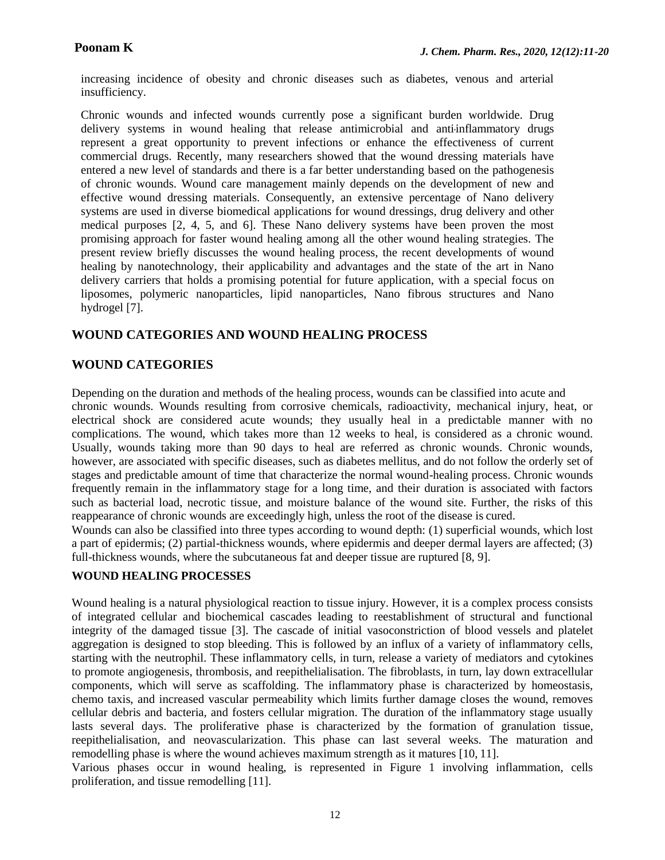increasing incidence of obesity and chronic diseases such as diabetes, venous and arterial insufficiency.

Chronic wounds and infected wounds currently pose a significant burden worldwide. Drug delivery systems in wound healing that release antimicrobial and anti-inflammatory drugs represent a great opportunity to prevent infections or enhance the effectiveness of current commercial drugs. Recently, many researchers showed that the wound dressing materials have entered a new level of standards and there is a far better understanding based on the pathogenesis of chronic wounds. Wound care management mainly depends on the development of new and effective wound dressing materials. Consequently, an extensive percentage of Nano delivery systems are used in diverse biomedical applications for wound dressings, drug delivery and other medical purposes [2, 4, 5, and 6]. These Nano delivery systems have been proven the most promising approach for faster wound healing among all the other wound healing strategies. The present review briefly discusses the wound healing process, the recent developments of wound healing by nanotechnology, their applicability and advantages and the state of the art in Nano delivery carriers that holds a promising potential for future application, with a special focus on liposomes, polymeric nanoparticles, lipid nanoparticles, Nano fibrous structures and Nano hydrogel [7].

## **WOUND CATEGORIES AND WOUND HEALING PROCESS**

## **WOUND CATEGORIES**

Depending on the duration and methods of the healing process, wounds can be classified into acute and chronic wounds. Wounds resulting from corrosive chemicals, radioactivity, mechanical injury, heat, or electrical shock are considered acute wounds; they usually heal in a predictable manner with no complications. The wound, which takes more than 12 weeks to heal, is considered as a chronic wound. Usually, wounds taking more than 90 days to heal are referred as chronic wounds. Chronic wounds, however, are associated with specific diseases, such as diabetes mellitus, and do not follow the orderly set of stages and predictable amount of time that characterize the normal wound-healing process. Chronic wounds frequently remain in the inflammatory stage for a long time, and their duration is associated with factors such as bacterial load, necrotic tissue, and moisture balance of the wound site. Further, the risks of this reappearance of chronic wounds are exceedingly high, unless the root of the disease is cured.

Wounds can also be classified into three types according to wound depth: (1) superficial wounds, which lost a part of epidermis; (2) partial-thickness wounds, where epidermis and deeper dermal layers are affected; (3) full-thickness wounds, where the subcutaneous fat and deeper tissue are ruptured [8, 9].

## **WOUND HEALING PROCESSES**

Wound healing is a natural physiological reaction to tissue injury. However, it is a complex process consists of integrated cellular and biochemical cascades leading to reestablishment of structural and functional integrity of the damaged tissue [3]. The cascade of initial vasoconstriction of blood vessels and platelet aggregation is designed to stop bleeding. This is followed by an influx of a variety of inflammatory cells, starting with the neutrophil. These inflammatory cells, in turn, release a variety of mediators and cytokines to promote angiogenesis, thrombosis, and reepithelialisation. The fibroblasts, in turn, lay down extracellular components, which will serve as scaffolding. The inflammatory phase is characterized by homeostasis, chemo taxis, and increased vascular permeability which limits further damage closes the wound, removes cellular debris and bacteria, and fosters cellular migration. The duration of the inflammatory stage usually lasts several days. The proliferative phase is characterized by the formation of granulation tissue, reepithelialisation, and neovascularization. This phase can last several weeks. The maturation and remodelling phase is where the wound achieves maximum strength as it matures [10, 11].

Various phases occur in wound healing, is represented in Figure 1 involving inflammation, cells proliferation, and tissue remodelling [11].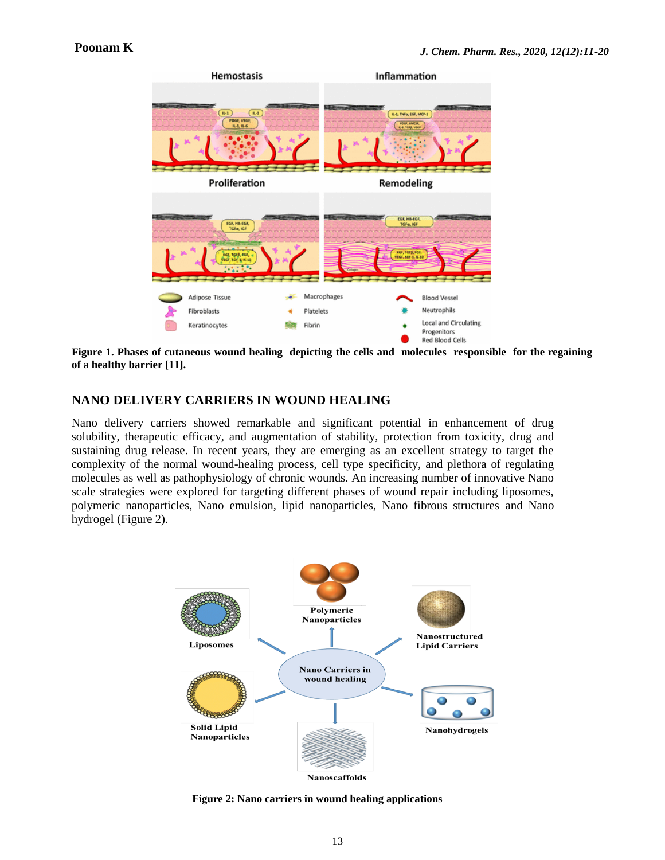

**Figure 1. Phases of cutaneous wound healing depicting the cells and molecules responsible for the regaining of a healthy barrier [11].**

## **NANO DELIVERY CARRIERS IN WOUND HEALING**

Nano delivery carriers showed remarkable and significant potential in enhancement of drug solubility, therapeutic efficacy, and augmentation of stability, protection from toxicity, drug and sustaining drug release. In recent years, they are emerging as an excellent strategy to target the complexity of the normal wound-healing process, cell type specificity, and plethora of regulating molecules as well as pathophysiology of chronic wounds. An increasing number of innovative Nano scale strategies were explored for targeting different phases of wound repair including liposomes, polymeric nanoparticles, Nano emulsion, lipid nanoparticles, Nano fibrous structures and Nano hydrogel (Figure 2).



**Figure 2: Nano carriers in wound healing applications**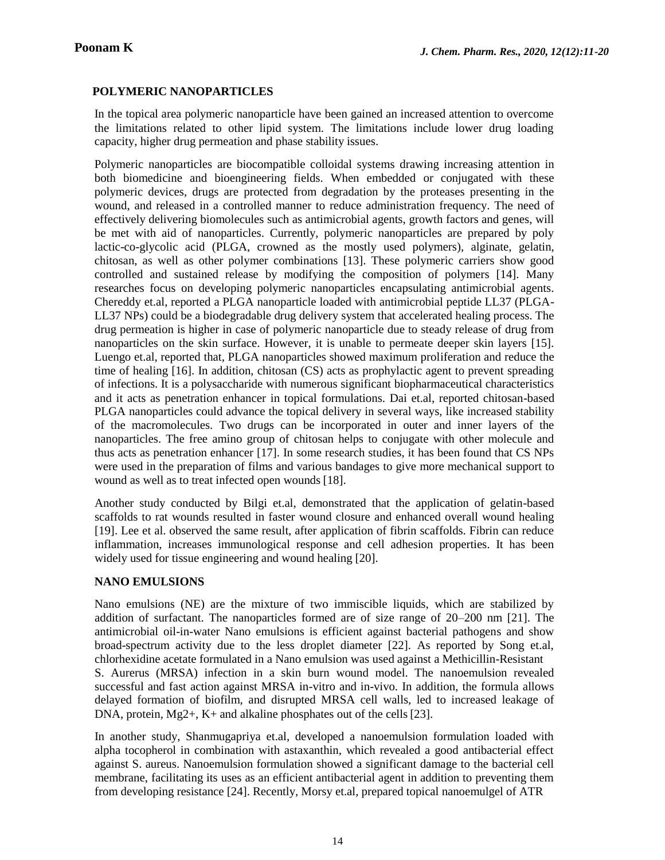## **POLYMERIC NANOPARTICLES**

In the topical area polymeric nanoparticle have been gained an increased attention to overcome the limitations related to other lipid system. The limitations include lower drug loading capacity, higher drug permeation and phase stability issues.

Polymeric nanoparticles are biocompatible colloidal systems drawing increasing attention in both biomedicine and bioengineering fields. When embedded or conjugated with these polymeric devices, drugs are protected from degradation by the proteases presenting in the wound, and released in a controlled manner to reduce administration frequency. The need of effectively delivering biomolecules such as antimicrobial agents, growth factors and genes, will be met with aid of nanoparticles. Currently, polymeric nanoparticles are prepared by poly lactic-co-glycolic acid (PLGA, crowned as the mostly used polymers), alginate, gelatin, chitosan, as well as other polymer combinations [13]. These polymeric carriers show good controlled and sustained release by modifying the composition of polymers [14]. Many researches focus on developing polymeric nanoparticles encapsulating antimicrobial agents. Chereddy et.al, reported a PLGA nanoparticle loaded with antimicrobial peptide LL37 (PLGA-LL37 NPs) could be a biodegradable drug delivery system that accelerated healing process. The drug permeation is higher in case of polymeric nanoparticle due to steady release of drug from nanoparticles on the skin surface. However, it is unable to permeate deeper skin layers [15]. Luengo et.al, reported that, PLGA nanoparticles showed maximum proliferation and reduce the time of healing [16]. In addition, chitosan (CS) acts as prophylactic agent to prevent spreading of infections. It is a polysaccharide with numerous significant biopharmaceutical characteristics and it acts as penetration enhancer in topical formulations. Dai et.al, reported chitosan-based PLGA nanoparticles could advance the topical delivery in several ways, like increased stability of the macromolecules. Two drugs can be incorporated in outer and inner layers of the nanoparticles. The free amino group of chitosan helps to conjugate with other molecule and thus acts as penetration enhancer [17]. In some research studies, it has been found that CS NPs were used in the preparation of films and various bandages to give more mechanical support to wound as well as to treat infected open wounds [18].

Another study conducted by Bilgi et.al, demonstrated that the application of gelatin-based scaffolds to rat wounds resulted in faster wound closure and enhanced overall wound healing [19]. Lee et al. observed the same result, after application of fibrin scaffolds. Fibrin can reduce inflammation, increases immunological response and cell adhesion properties. It has been widely used for tissue engineering and wound healing [20].

#### **NANO EMULSIONS**

Nano emulsions (NE) are the mixture of two immiscible liquids, which are stabilized by addition of surfactant. The nanoparticles formed are of size range of 20–200 nm [21]. The antimicrobial oil-in-water Nano emulsions is efficient against bacterial pathogens and show broad-spectrum activity due to the less droplet diameter [22]. As reported by Song et.al, chlorhexidine acetate formulated in a Nano emulsion was used against a Methicillin-Resistant S. Aurerus (MRSA) infection in a skin burn wound model. The nanoemulsion revealed successful and fast action against MRSA in-vitro and in-vivo. In addition, the formula allows delayed formation of biofilm, and disrupted MRSA cell walls, led to increased leakage of DNA, protein,  $Mg2+$ ,  $K+$  and alkaline phosphates out of the cells [23].

In another study, Shanmugapriya et.al, developed a nanoemulsion formulation loaded with alpha tocopherol in combination with astaxanthin, which revealed a good antibacterial effect against S. aureus. Nanoemulsion formulation showed a significant damage to the bacterial cell membrane, facilitating its uses as an efficient antibacterial agent in addition to preventing them from developing resistance [24]. Recently, Morsy et.al, prepared topical nanoemulgel of ATR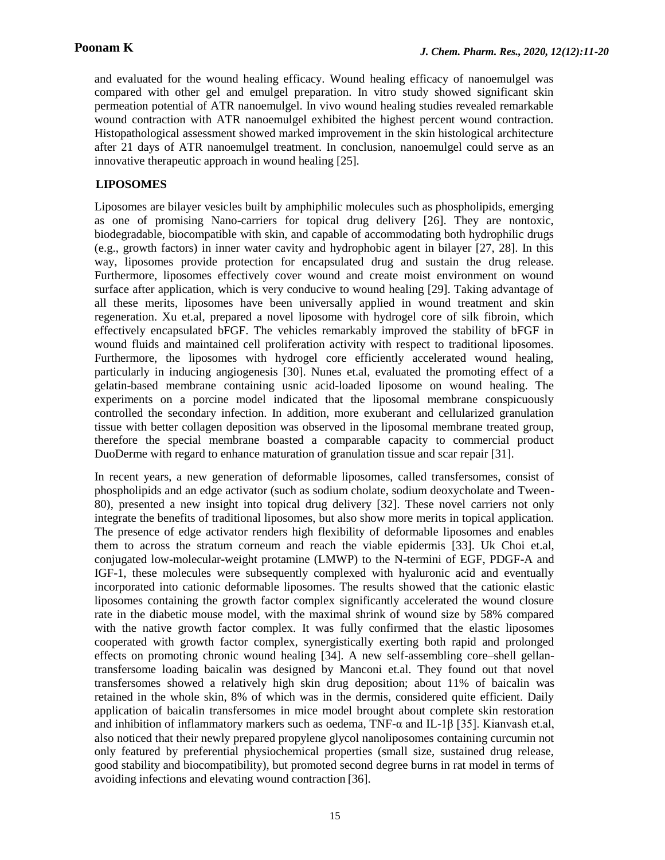and evaluated for the wound healing efficacy. Wound healing efficacy of nanoemulgel was compared with other gel and emulgel preparation. In vitro study showed significant skin permeation potential of ATR nanoemulgel. In vivo wound healing studies revealed remarkable wound contraction with ATR nanoemulgel exhibited the highest percent wound contraction. Histopathological assessment showed marked improvement in the skin histological architecture after 21 days of ATR nanoemulgel treatment. In conclusion, nanoemulgel could serve as an innovative therapeutic approach in wound healing [25].

### **LIPOSOMES**

Liposomes are bilayer vesicles built by amphiphilic molecules such as phospholipids, emerging as one of promising Nano-carriers for topical drug delivery [26]. They are nontoxic, biodegradable, biocompatible with skin, and capable of accommodating both hydrophilic drugs (e.g., growth factors) in inner water cavity and hydrophobic agent in bilayer [27, 28]. In this way, liposomes provide protection for encapsulated drug and sustain the drug release. Furthermore, liposomes effectively cover wound and create moist environment on wound surface after application, which is very conducive to wound healing [29]. Taking advantage of all these merits, liposomes have been universally applied in wound treatment and skin regeneration. Xu et.al, prepared a novel liposome with hydrogel core of silk fibroin, which effectively encapsulated bFGF. The vehicles remarkably improved the stability of bFGF in wound fluids and maintained cell proliferation activity with respect to traditional liposomes. Furthermore, the liposomes with hydrogel core efficiently accelerated wound healing, particularly in inducing angiogenesis [30]. Nunes et.al, evaluated the promoting effect of a gelatin-based membrane containing usnic acid-loaded liposome on wound healing. The experiments on a porcine model indicated that the liposomal membrane conspicuously controlled the secondary infection. In addition, more exuberant and cellularized granulation tissue with better collagen deposition was observed in the liposomal membrane treated group, therefore the special membrane boasted a comparable capacity to commercial product DuoDerme with regard to enhance maturation of granulation tissue and scar repair [31].

In recent years, a new generation of deformable liposomes, called transfersomes, consist of phospholipids and an edge activator (such as sodium cholate, sodium deoxycholate and Tween-80), presented a new insight into topical drug delivery [32]. These novel carriers not only integrate the benefits of traditional liposomes, but also show more merits in topical application. The presence of edge activator renders high flexibility of deformable liposomes and enables them to across the stratum corneum and reach the viable epidermis [33]. Uk Choi et.al, conjugated low-molecular-weight protamine (LMWP) to the N-termini of EGF, PDGF-A and IGF-1, these molecules were subsequently complexed with hyaluronic acid and eventually incorporated into cationic deformable liposomes. The results showed that the cationic elastic liposomes containing the growth factor complex significantly accelerated the wound closure rate in the diabetic mouse model, with the maximal shrink of wound size by 58% compared with the native growth factor complex. It was fully confirmed that the elastic liposomes cooperated with growth factor complex, synergistically exerting both rapid and prolonged effects on promoting chronic wound healing [34]. A new self-assembling core–shell gellantransfersome loading baicalin was designed by Manconi et.al. They found out that novel transfersomes showed a relatively high skin drug deposition; about 11% of baicalin was retained in the whole skin, 8% of which was in the dermis, considered quite efficient. Daily application of baicalin transfersomes in mice model brought about complete skin restoration and inhibition of inflammatory markers such as oedema, TNF- $\alpha$  and IL-1β [35]. Kianvash et.al, also noticed that their newly prepared propylene glycol nanoliposomes containing curcumin not only featured by preferential physiochemical properties (small size, sustained drug release, good stability and biocompatibility), but promoted second degree burns in rat model in terms of avoiding infections and elevating wound contraction [36].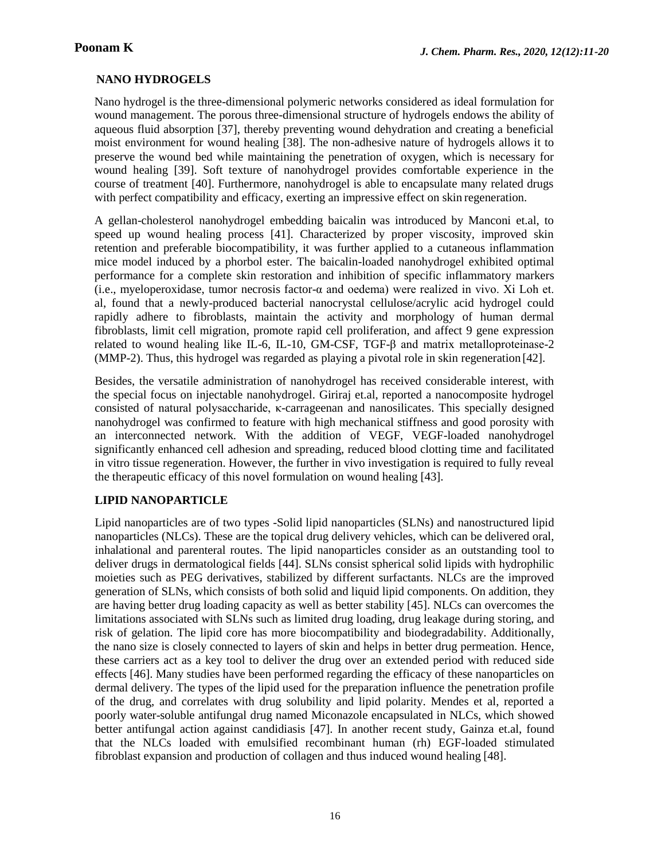## **NANO HYDROGELS**

Nano hydrogel is the three-dimensional polymeric networks considered as ideal formulation for wound management. The porous three-dimensional structure of hydrogels endows the ability of aqueous fluid absorption [37], thereby preventing wound dehydration and creating a beneficial moist environment for wound healing [38]. The non-adhesive nature of hydrogels allows it to preserve the wound bed while maintaining the penetration of oxygen, which is necessary for wound healing [39]. Soft texture of nanohydrogel provides comfortable experience in the course of treatment [40]. Furthermore, nanohydrogel is able to encapsulate many related drugs with perfect compatibility and efficacy, exerting an impressive effect on skin regeneration.

A gellan-cholesterol nanohydrogel embedding baicalin was introduced by Manconi et.al, to speed up wound healing process [41]. Characterized by proper viscosity, improved skin retention and preferable biocompatibility, it was further applied to a cutaneous inflammation mice model induced by a phorbol ester. The baicalin-loaded nanohydrogel exhibited optimal performance for a complete skin restoration and inhibition of specific inflammatory markers (i.e., myeloperoxidase, tumor necrosis factor-α and oedema) were realized in vivo. Xi Loh et. al, found that a newly-produced bacterial nanocrystal cellulose/acrylic acid hydrogel could rapidly adhere to fibroblasts, maintain the activity and morphology of human dermal fibroblasts, limit cell migration, promote rapid cell proliferation, and affect 9 gene expression related to wound healing like IL-6, IL-10, GM-CSF, TGF-β and matrix metalloproteinase-2 (MMP-2). Thus, this hydrogel was regarded as playing a pivotal role in skin regeneration [42].

Besides, the versatile administration of nanohydrogel has received considerable interest, with the special focus on injectable nanohydrogel. Giriraj et.al, reported a nanocomposite hydrogel consisted of natural polysaccharide, κ-carrageenan and nanosilicates. This specially designed nanohydrogel was confirmed to feature with high mechanical stiffness and good porosity with an interconnected network. With the addition of VEGF, VEGF-loaded nanohydrogel significantly enhanced cell adhesion and spreading, reduced blood clotting time and facilitated in vitro tissue regeneration. However, the further in vivo investigation is required to fully reveal the therapeutic efficacy of this novel formulation on wound healing [43].

## **LIPID NANOPARTICLE**

Lipid nanoparticles are of two types -Solid lipid nanoparticles (SLNs) and nanostructured lipid nanoparticles (NLCs). These are the topical drug delivery vehicles, which can be delivered oral, inhalational and parenteral routes. The lipid nanoparticles consider as an outstanding tool to deliver drugs in dermatological fields [44]. SLNs consist spherical solid lipids with hydrophilic moieties such as PEG derivatives, stabilized by different surfactants. NLCs are the improved generation of SLNs, which consists of both solid and liquid lipid components. On addition, they are having better drug loading capacity as well as better stability [45]. NLCs can overcomes the limitations associated with SLNs such as limited drug loading, drug leakage during storing, and risk of gelation. The lipid core has more biocompatibility and biodegradability. Additionally, the nano size is closely connected to layers of skin and helps in better drug permeation. Hence, these carriers act as a key tool to deliver the drug over an extended period with reduced side effects [46]. Many studies have been performed regarding the efficacy of these nanoparticles on dermal delivery. The types of the lipid used for the preparation influence the penetration profile of the drug, and correlates with drug solubility and lipid polarity. Mendes et al, reported a poorly water-soluble antifungal drug named Miconazole encapsulated in NLCs, which showed better antifungal action against candidiasis [47]. In another recent study, Gainza et.al, found that the NLCs loaded with emulsified recombinant human (rh) EGF-loaded stimulated fibroblast expansion and production of collagen and thus induced wound healing [48].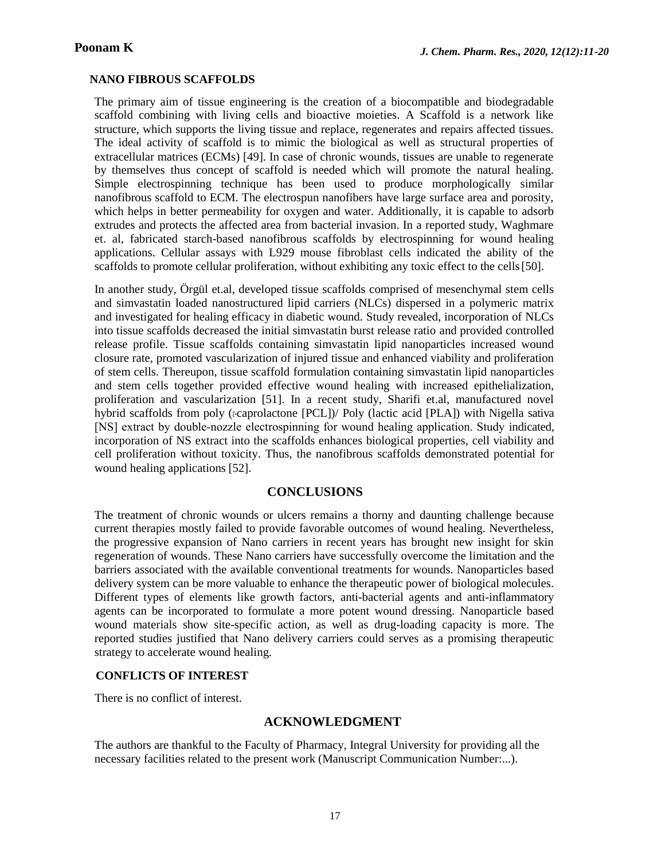#### **NANO FIBROUS SCAFFOLDS**

The primary aim of tissue engineering is the creation of a biocompatible and biodegradable scaffold combining with living cells and bioactive moieties. A Scaffold is a network like structure, which supports the living tissue and replace, regenerates and repairs affected tissues. The ideal activity of scaffold is to mimic the biological as well as structural properties of extracellular matrices (ECMs) [49]. In case of chronic wounds, tissues are unable to regenerate by themselves thus concept of scaffold is needed which will promote the natural healing. Simple electrospinning technique has been used to produce morphologically similar nanofibrous scaffold to ECM. The electrospun nanofibers have large surface area and porosity, which helps in better permeability for oxygen and water. Additionally, it is capable to adsorb extrudes and protects the affected area from bacterial invasion. In a reported study, Waghmare et. al, fabricated starch-based nanofibrous scaffolds by electrospinning for wound healing applications. Cellular assays with L929 mouse fibroblast cells indicated the ability of the scaffolds to promote cellular proliferation, without exhibiting any toxic effect to the cells[50].

In another study, Örgül et.al, developed tissue scaffolds comprised of mesenchymal stem cells and simvastatin loaded nanostructured lipid carriers (NLCs) dispersed in a polymeric matrix and investigated for healing efficacy in diabetic wound. Study revealed, incorporation of NLCs into tissue scaffolds decreased the initial simvastatin burst release ratio and provided controlled release profile. Tissue scaffolds containing simvastatin lipid nanoparticles increased wound closure rate, promoted vascularization of injured tissue and enhanced viability and proliferation of stem cells. Thereupon, tissue scaffold formulation containing simvastatin lipid nanoparticles and stem cells together provided effective wound healing with increased epithelialization, proliferation and vascularization [51]. In a recent study, Sharifi et.al, manufactured novel hybrid scaffolds from poly ( $\epsilon$ caprolactone [PCL])/ Poly (lactic acid [PLA]) with Nigella sativa [NS] extract by double-nozzle electrospinning for wound healing application. Study indicated, incorporation of NS extract into the scaffolds enhances biological properties, cell viability and cell proliferation without toxicity. Thus, the nanofibrous scaffolds demonstrated potential for wound healing applications [52].

### **CONCLUSIONS**

The treatment of chronic wounds or ulcers remains a thorny and daunting challenge because current therapies mostly failed to provide favorable outcomes of wound healing. Nevertheless, the progressive expansion of Nano carriers in recent years has brought new insight for skin regeneration of wounds. These Nano carriers have successfully overcome the limitation and the barriers associated with the available conventional treatments for wounds. Nanoparticles based delivery system can be more valuable to enhance the therapeutic power of biological molecules. Different types of elements like growth factors, anti-bacterial agents and anti-inflammatory agents can be incorporated to formulate a more potent wound dressing. Nanoparticle based wound materials show site-specific action, as well as drug-loading capacity is more. The reported studies justified that Nano delivery carriers could serves as a promising therapeutic strategy to accelerate wound healing.

#### **CONFLICTS OF INTEREST**

There is no conflict of interest.

#### **ACKNOWLEDGMENT**

The authors are thankful to the Faculty of Pharmacy, Integral University for providing all the necessary facilities related to the present work (Manuscript Communication Number:...).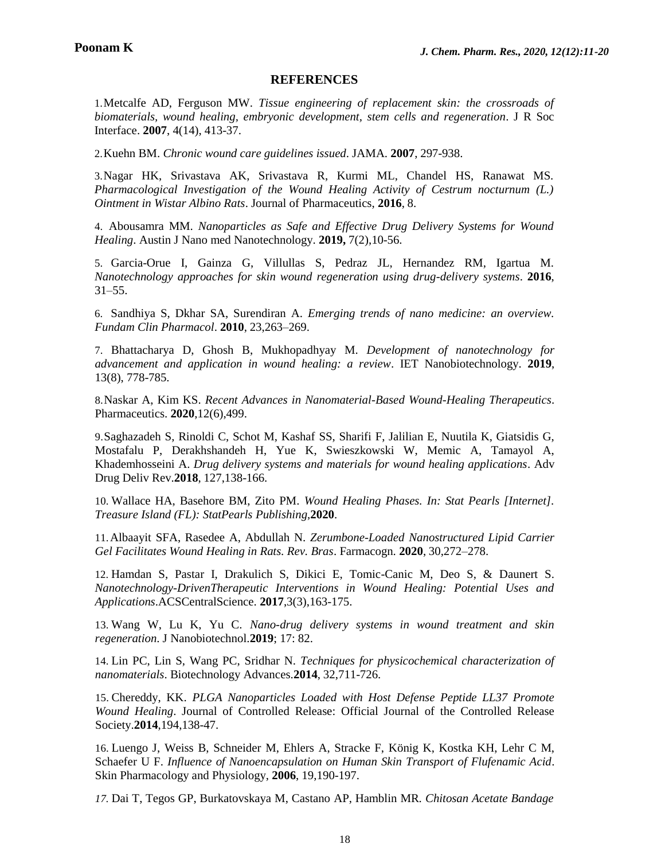#### **REFERENCES**

1.Metcalfe AD, Ferguson MW. *Tissue engineering of replacement skin: the crossroads of biomaterials, wound healing, embryonic development, stem cells and regeneration*. J R Soc Interface. **2007**, 4(14), 413-37.

2.Kuehn BM. *Chronic wound care guidelines issued*. JAMA. **2007**, 297-938.

3.Nagar HK, Srivastava AK, Srivastava R, Kurmi ML, Chandel HS, Ranawat MS. *Pharmacological Investigation of the Wound Healing Activity of Cestrum nocturnum (L.) Ointment in Wistar Albino Rats*. Journal of Pharmaceutics, **2016**, 8.

4. Abousamra MM. *Nanoparticles as Safe and Effective Drug Delivery Systems for Wound Healing*. Austin J Nano med Nanotechnology. **2019,** 7(2),10-56.

5. Garcia-Orue I, Gainza G, Villullas S, Pedraz JL, Hernandez RM, Igartua M. *Nanotechnology approaches for skin wound regeneration using drug-delivery systems*. **2016**, 31–55.

6. Sandhiya S, Dkhar SA, Surendiran A. *Emerging trends of nano medicine: an overview. Fundam Clin Pharmacol*. **2010**, 23,263–269.

7. Bhattacharya D, Ghosh B, Mukhopadhyay M. *Development of nanotechnology for advancement and application in wound healing: a review*. IET Nanobiotechnology. **2019**, 13(8), 778-785.

8.Naskar A, Kim KS. *Recent Advances in Nanomaterial-Based Wound-Healing Therapeutics*. Pharmaceutics. **2020**,12(6),499.

9.Saghazadeh S, Rinoldi C, Schot M, Kashaf SS, Sharifi F, Jalilian E, Nuutila K, Giatsidis G, Mostafalu P, Derakhshandeh H, Yue K, Swieszkowski W, Memic A, Tamayol A, Khademhosseini A. *Drug delivery systems and materials for wound healing applications*. Adv Drug Deliv Rev.**2018**, 127,138-166.

10. Wallace HA, Basehore BM, Zito PM. *Wound Healing Phases. In: Stat Pearls [Internet]. Treasure Island (FL): StatPearls Publishing*,**2020**.

11.Albaayit SFA, Rasedee A, Abdullah N. *Zerumbone-Loaded Nanostructured Lipid Carrier Gel Facilitates Wound Healing in Rats. Rev. Bras*. Farmacogn. **2020**, 30,272–278.

12. Hamdan S, Pastar I, Drakulich S, Dikici E, Tomic-Canic M, Deo S, & Daunert S. *Nanotechnology-DrivenTherapeutic Interventions in Wound Healing: Potential Uses and Applications*.ACSCentralScience. **2017**,3(3),163-175.

13. Wang W, Lu K, Yu C. *Nano-drug delivery systems in wound treatment and skin regeneration*. J Nanobiotechnol.**2019**; 17: 82.

14. Lin PC, Lin S, Wang PC, Sridhar N. *Techniques for physicochemical characterization of nanomaterials*. Biotechnology Advances.**2014**, 32,711-726.

15. Chereddy, KK. *PLGA Nanoparticles Loaded with Host Defense Peptide LL37 Promote Wound Healing*. Journal of Controlled Release: Official Journal of the Controlled Release Society.**2014**,194,138-47.

16. Luengo J, Weiss B, Schneider M, Ehlers A, Stracke F, König K, Kostka KH, Lehr C M, Schaefer U F. *Influence of Nanoencapsulation on Human Skin Transport of Flufenamic Acid*. Skin Pharmacology and Physiology, **2006**, 19,190-197.

*17.* Dai T, Tegos GP, Burkatovskaya M, Castano AP, Hamblin MR*. Chitosan Acetate Bandage*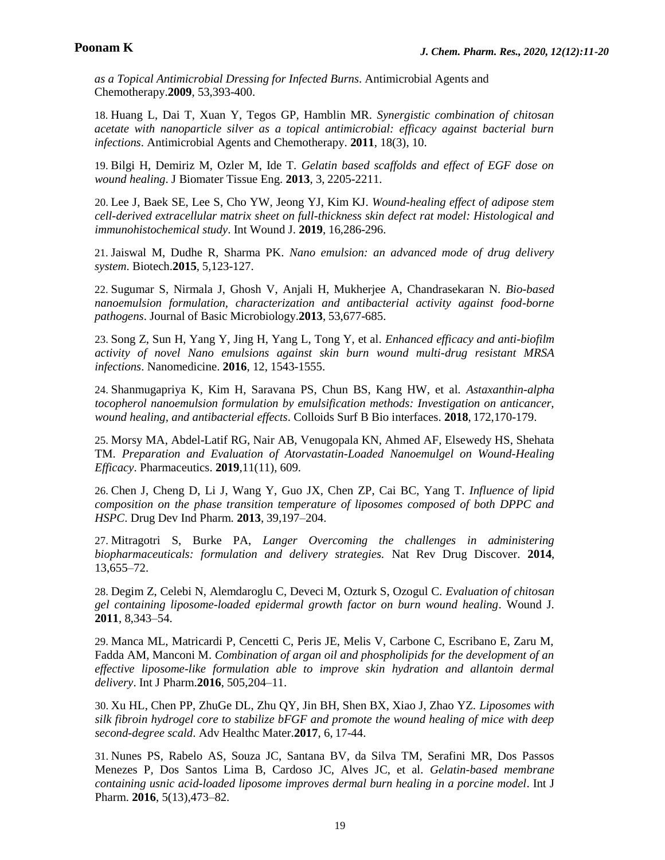*as a Topical Antimicrobial Dressing for Infected Burns*. Antimicrobial Agents and Chemotherapy.**2009**, 53,393-400.

18. Huang L, Dai T, Xuan Y, Tegos GP, Hamblin MR. *Synergistic combination of chitosan acetate with nanoparticle silver as a topical antimicrobial: efficacy against bacterial burn infections*. Antimicrobial Agents and Chemotherapy. **2011**, 18(3), 10.

19. Bilgi H, Demiriz M, Ozler M, Ide T. *Gelatin based scaffolds and effect of EGF dose on wound healing*. J Biomater Tissue Eng. **2013**, 3, 2205-2211.

20. Lee J, Baek SE, Lee S, Cho YW, Jeong YJ, Kim KJ. *Wound-healing effect of adipose stem cell-derived extracellular matrix sheet on full-thickness skin defect rat model: Histological and immunohistochemical study*. Int Wound J. **2019**, 16,286-296.

21. Jaiswal M, Dudhe R, Sharma PK. *Nano emulsion: an advanced mode of drug delivery system*. Biotech.**2015**, 5,123-127.

22. Sugumar S, Nirmala J, Ghosh V, Anjali H, Mukherjee A, Chandrasekaran N. *Bio-based nanoemulsion formulation, characterization and antibacterial activity against food-borne pathogens*. Journal of Basic Microbiology.**2013**, 53,677-685.

23. Song Z, Sun H, Yang Y, Jing H, Yang L, Tong Y, et al. *Enhanced efficacy and anti-biofilm activity of novel Nano emulsions against skin burn wound multi-drug resistant MRSA infections*. Nanomedicine. **2016**, 12, 1543-1555.

24. Shanmugapriya K, Kim H, Saravana PS, Chun BS, Kang HW, et al. *Astaxanthin-alpha tocopherol nanoemulsion formulation by emulsification methods: Investigation on anticancer, wound healing, and antibacterial effects*. Colloids Surf B Bio interfaces. **2018**, 172,170-179.

25. Morsy MA, Abdel-Latif RG, Nair AB, Venugopala KN, Ahmed AF, Elsewedy HS, Shehata TM. *Preparation and Evaluation of Atorvastatin-Loaded Nanoemulgel on Wound-Healing Efficacy*. Pharmaceutics. **2019**,11(11), 609.

26. Chen J, Cheng D, Li J, Wang Y, Guo JX, Chen ZP, Cai BC, Yang T. *Influence of lipid composition on the phase transition temperature of liposomes composed of both DPPC and HSPC*. Drug Dev Ind Pharm. **2013**, 39,197–204.

27. Mitragotri S, Burke PA, *Langer Overcoming the challenges in administering biopharmaceuticals: formulation and delivery strategies.* Nat Rev Drug Discover. **2014**, 13,655–72.

28. Degim Z, Celebi N, Alemdaroglu C, Deveci M, Ozturk S, Ozogul C. *Evaluation of chitosan gel containing liposome-loaded epidermal growth factor on burn wound healing*. Wound J. **2011**, 8,343–54.

29. Manca ML, Matricardi P, Cencetti C, Peris JE, Melis V, Carbone C, Escribano E, Zaru M, Fadda AM, Manconi M. *Combination of argan oil and phospholipids for the development of an effective liposome-like formulation able to improve skin hydration and allantoin dermal delivery*. Int J Pharm.**2016**, 505,204–11.

30. Xu HL, Chen PP, ZhuGe DL, Zhu QY, Jin BH, Shen BX, Xiao J, Zhao YZ. *Liposomes with silk fibroin hydrogel core to stabilize bFGF and promote the wound healing of mice with deep second-degree scald*. Adv Healthc Mater.**2017**, 6, 17-44.

31. Nunes PS, Rabelo AS, Souza JC, Santana BV, da Silva TM, Serafini MR, Dos Passos Menezes P, Dos Santos Lima B, Cardoso JC, Alves JC, et al. *Gelatin-based membrane containing usnic acid-loaded liposome improves dermal burn healing in a porcine model*. Int J Pharm. **2016**, 5(13),473–82.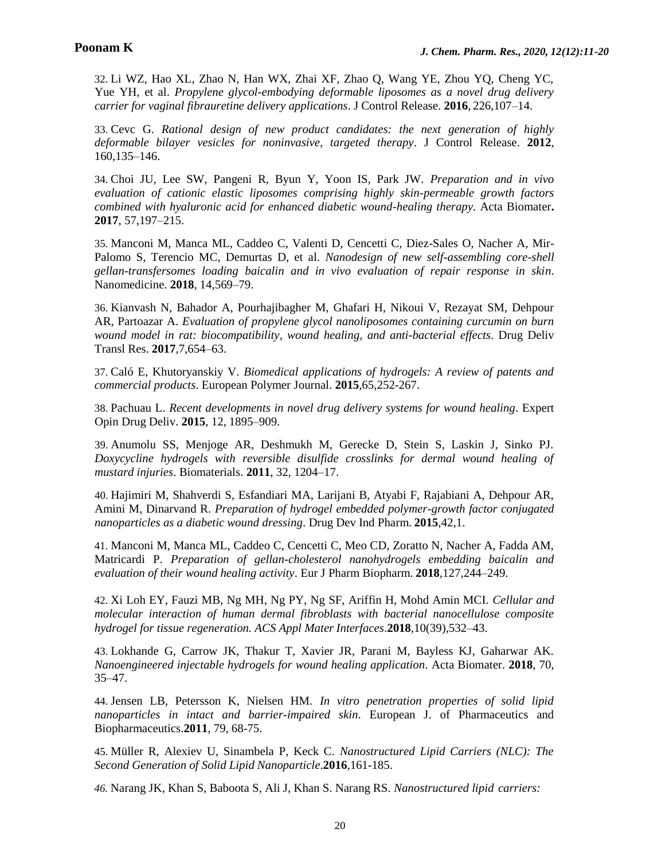32. Li WZ, Hao XL, Zhao N, Han WX, Zhai XF, Zhao Q, Wang YE, Zhou YQ, Cheng YC, Yue YH, et al. *Propylene glycol-embodying deformable liposomes as a novel drug delivery carrier for vaginal fibrauretine delivery applications*. J Control Release. **2016**, 226,107–14.

33. Cevc G. *Rational design of new product candidates: the next generation of highly deformable bilayer vesicles for noninvasive, targeted therapy*. J Control Release. **2012**, 160,135–146.

34. Choi JU, Lee SW, Pangeni R, Byun Y, Yoon IS, Park JW. *Preparation and in vivo evaluation of cationic elastic liposomes comprising highly skin-permeable growth factors combined with hyaluronic acid for enhanced diabetic wound-healing therapy.* Acta Biomater**. 2017**, 57,197–215.

35. Manconi M, Manca ML, Caddeo C, Valenti D, Cencetti C, Diez-Sales O, Nacher A, Mir-Palomo S, Terencio MC, Demurtas D, et al. *Nanodesign of new self-assembling core-shell gellan-transfersomes loading baicalin and in vivo evaluation of repair response in skin*. Nanomedicine. **2018**, 14,569–79.

36. Kianvash N, Bahador A, Pourhajibagher M, Ghafari H, Nikoui V, Rezayat SM, Dehpour AR, Partoazar A. *Evaluation of propylene glycol nanoliposomes containing curcumin on burn wound model in rat: biocompatibility, wound healing, and anti-bacterial effects*. Drug Deliv Transl Res. **2017**,7,654–63.

37. Caló E, Khutoryanskiy V. *Biomedical applications of hydrogels: A review of patents and commercial products*. European Polymer Journal. **2015**,65,252-267.

38. Pachuau L. *Recent developments in novel drug delivery systems for wound healing*. Expert Opin Drug Deliv. **2015**, 12, 1895–909.

39. Anumolu SS, Menjoge AR, Deshmukh M, Gerecke D, Stein S, Laskin J, Sinko PJ. *Doxycycline hydrogels with reversible disulfide crosslinks for dermal wound healing of mustard injuries*. Biomaterials. **2011**, 32, 1204–17.

40. Hajimiri M, Shahverdi S, Esfandiari MA, Larijani B, Atyabi F, Rajabiani A, Dehpour AR, Amini M, Dinarvand R. *Preparation of hydrogel embedded polymer-growth factor conjugated nanoparticles as a diabetic wound dressing*. Drug Dev Ind Pharm. **2015**,42,1.

41. Manconi M, Manca ML, Caddeo C, Cencetti C, Meo CD, Zoratto N, Nacher A, Fadda AM, Matricardi P. *Preparation of gellan-cholesterol nanohydrogels embedding baicalin and evaluation of their wound healing activity*. Eur J Pharm Biopharm. **2018**,127,244–249.

42. Xi Loh EY, Fauzi MB, Ng MH, Ng PY, Ng SF, Ariffin H, Mohd Amin MCI. *Cellular and molecular interaction of human dermal fibroblasts with bacterial nanocellulose composite hydrogel for tissue regeneration. ACS Appl Mater Interfaces*.**2018**,10(39),532–43.

43. Lokhande G, Carrow JK, Thakur T, Xavier JR, Parani M, Bayless KJ, Gaharwar AK. *Nanoengineered injectable hydrogels for wound healing application*. Acta Biomater. **2018**, 70, 35–47.

44. Jensen LB, Petersson K, Nielsen HM. *In vitro penetration properties of solid lipid nanoparticles in intact and barrier-impaired skin*. European J. of Pharmaceutics and Biopharmaceutics.**2011**, 79, 68-75.

45. Müller R, Alexiev U, Sinambela P, Keck C. *Nanostructured Lipid Carriers (NLC): The Second Generation of Solid Lipid Nanoparticle*.**2016**,161-185.

*46.* Narang JK, Khan S, Baboota S, Ali J, Khan S. Narang RS. *Nanostructured lipid carriers:*